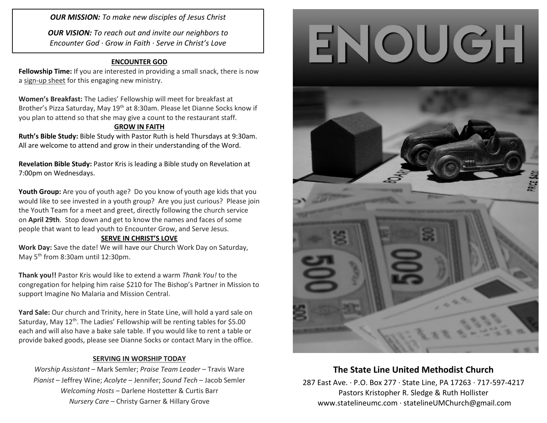*OUR MISSION: To make new disciples of Jesus Christ*

*OUR VISION: To reach out and invite our neighbors to Encounter God · Grow in Faith · Serve in Christ's Love*

### **ENCOUNTER GOD**

**Fellowship Time:** If you are interested in providing a small snack, there is now a sign-up sheet for this engaging new ministry.

**Women's Breakfast:** The Ladies' Fellowship will meet for breakfast at Brother's Pizza Saturday, May 19<sup>th</sup> at 8:30am. Please let Dianne Socks know if you plan to attend so that she may give a count to the restaurant staff.

### **GROW IN FAITH**

**Ruth's Bible Study:** Bible Study with Pastor Ruth is held Thursdays at 9:30am. All are welcome to attend and grow in their understanding of the Word.

**Revelation Bible Study:** Pastor Kris is leading a Bible study on Revelation at 7:00pm on Wednesdays.

**Youth Group:** Are you of youth age? Do you know of youth age kids that you would like to see invested in a youth group? Are you just curious? Please join the Youth Team for a meet and greet, directly following the church service on **April 29th**. Stop down and get to know the names and faces of some people that want to lead youth to Encounter Grow, and Serve Jesus.

### **SERVE IN CHRIST'S LOVE**

**Work Day:** Save the date! We will have our Church Work Day on Saturday, May 5<sup>th</sup> from 8:30am until 12:30pm.

**Thank you!!** Pastor Kris would like to extend a warm *Thank You!* to the congregation for helping him raise \$210 for The Bishop's Partner in Mission to support Imagine No Malaria and Mission Central.

**Yard Sale:** Our church and Trinity, here in State Line, will hold a yard sale on Saturday, May 12<sup>th</sup>. The Ladies' Fellowship will be renting tables for \$5.00 each and will also have a bake sale table. If you would like to rent a table or provide baked goods, please see Dianne Socks or contact Mary in the office.

### **SERVING IN WORSHIP TODAY**

*Worship Assistant* – Mark Semler; *Praise Team Leader* – Travis Ware *Pianist* – Jeffrey Wine; *Acolyte* – Jennifer; *Sound Tech* – Jacob Semler *Welcoming Hosts* – Darlene Hostetter & Curtis Barr *Nursery Care* – Christy Garner & Hillary Grove





## **The State Line United Methodist Church**

287 East Ave. · P.O. Box 277 · State Line, PA 17263 · 717-597-4217 Pastors Kristopher R. Sledge & Ruth Hollister [www.statelineumc.com](http://www.statelineumc.com/) · statelineUMChurch@gmail.com